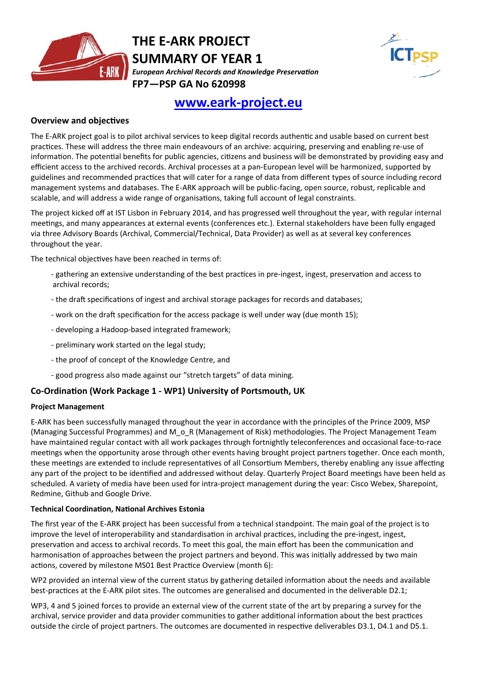

## **THE E‐ARK PROJECT SUMMARY OF YEAR 1** *European Archival Records and Knowledge PreservaƟon* **FP7—PSP GA No 620998**



# **www.eark‐project.eu**

#### **Overview and objecƟves**

The E-ARK project goal is to pilot archival services to keep digital records authentic and usable based on current best practices. These will address the three main endeavours of an archive: acquiring, preserving and enabling re-use of information. The potential benefits for public agencies, citizens and business will be demonstrated by providing easy and efficient access to the archived records. Archival processes at a pan-European level will be harmonized, supported by guidelines and recommended practices that will cater for a range of data from different types of source including record management systems and databases. The E‐ARK approach will be public‐facing, open source, robust, replicable and scalable, and will address a wide range of organisations, taking full account of legal constraints.

The project kicked off at IST Lisbon in February 2014, and has progressed well throughout the year, with regular internal meetings, and many appearances at external events (conferences etc.). External stakeholders have been fully engaged via three Advisory Boards (Archival, Commercial/Technical, Data Provider) as well as at several key conferences throughout the year.

The technical objectives have been reached in terms of:

- gathering an extensive understanding of the best practices in pre-ingest, ingest, preservation and access to archival records;
- the draft specifications of ingest and archival storage packages for records and databases;
- work on the draft specification for the access package is well under way (due month 15);
- ‐ developing a Hadoop‐based integrated framework;
- ‐ preliminary work started on the legal study;
- ‐ the proof of concept of the Knowledge Centre, and
- ‐ good progress also made against our "stretch targets" of data mining.

#### **Co‐OrdinaƟon (Work Package 1 ‐ WP1) University of Portsmouth, UK**

#### **Project Management**

E‐ARK has been successfully managed throughout the year in accordance with the principles of the Prince 2009, MSP (Managing Successful Programmes) and M\_o\_R (Management of Risk) methodologies. The Project Management Team have maintained regular contact with all work packages through fortnightly teleconferences and occasional face-to-race meetings when the opportunity arose through other events having brought project partners together. Once each month, these meetings are extended to include representatives of all Consortium Members, thereby enabling any issue affecting any part of the project to be identified and addressed without delay. Quarterly Project Board meetings have been held as scheduled. A variety of media have been used for intra‐project management during the year: Cisco Webex, Sharepoint, Redmine, Github and Google Drive.

#### **Technical CoordinaƟon, NaƟonal Archives Estonia**

The first year of the E-ARK project has been successful from a technical standpoint. The main goal of the project is to improve the level of interoperability and standardisation in archival practices, including the pre-ingest, ingest, preservation and access to archival records. To meet this goal, the main effort has been the communication and harmonisation of approaches between the project partners and beyond. This was initially addressed by two main actions, covered by milestone MS01 Best Practice Overview (month 6):

WP2 provided an internal view of the current status by gathering detailed information about the needs and available best-practices at the E-ARK pilot sites. The outcomes are generalised and documented in the deliverable D2.1;

WP3, 4 and 5 joined forces to provide an external view of the current state of the art by preparing a survey for the archival, service provider and data provider communities to gather additional information about the best practices outside the circle of project partners. The outcomes are documented in respective deliverables D3.1, D4.1 and D5.1.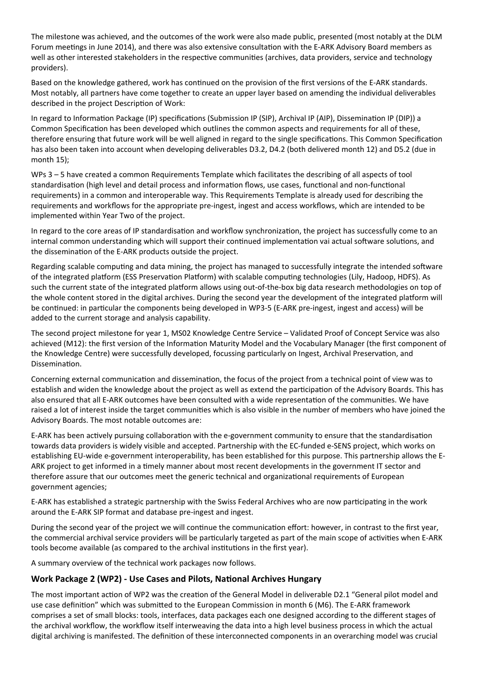The milestone was achieved, and the outcomes of the work were also made public, presented (most notably at the DLM Forum meetings in June 2014), and there was also extensive consultation with the E-ARK Advisory Board members as well as other interested stakeholders in the respective communities (archives, data providers, service and technology providers).

Based on the knowledge gathered, work has continued on the provision of the first versions of the E-ARK standards. Most notably, all partners have come together to create an upper layer based on amending the individual deliverables described in the project Description of Work:

In regard to Information Package (IP) specifications (Submission IP (SIP), Archival IP (AIP), Dissemination IP (DIP)) a Common Specification has been developed which outlines the common aspects and requirements for all of these, therefore ensuring that future work will be well aligned in regard to the single specifications. This Common Specification has also been taken into account when developing deliverables D3.2, D4.2 (both delivered month 12) and D5.2 (due in month 15);

WPs 3 – 5 have created a common Requirements Template which facilitates the describing of all aspects of tool standardisation (high level and detail process and information flows, use cases, functional and non-functional requirements) in a common and interoperable way. This Requirements Template is already used for describing the requirements and workflows for the appropriate pre‐ingest, ingest and access workflows, which are intended to be implemented within Year Two of the project.

In regard to the core areas of IP standardisation and workflow synchronization, the project has successfully come to an internal common understanding which will support their continued implementation vai actual software solutions, and the dissemination of the E-ARK products outside the project.

Regarding scalable computing and data mining, the project has managed to successfully integrate the intended software of the integrated platform (ESS Preservation Platform) with scalable computing technologies (Lily, Hadoop, HDFS). As such the current state of the integrated platform allows using out-of-the-box big data research methodologies on top of the whole content stored in the digital archives. During the second year the development of the integrated platform will be continued: in particular the components being developed in WP3-5 (E-ARK pre-ingest, ingest and access) will be added to the current storage and analysis capability.

The second project milestone for year 1, MS02 Knowledge Centre Service – Validated Proof of Concept Service was also achieved (M12): the first version of the Information Maturity Model and the Vocabulary Manager (the first component of the Knowledge Centre) were successfully developed, focussing particularly on Ingest, Archival Preservation, and Dissemination.

Concerning external communication and dissemination, the focus of the project from a technical point of view was to establish and widen the knowledge about the project as well as extend the participation of the Advisory Boards. This has also ensured that all E-ARK outcomes have been consulted with a wide representation of the communities. We have raised a lot of interest inside the target communities which is also visible in the number of members who have joined the Advisory Boards. The most notable outcomes are:

E-ARK has been actively pursuing collaboration with the e-government community to ensure that the standardisation towards data providers is widely visible and accepted. Partnership with the EC‐funded e‐SENS project, which works on establishing EU-wide e-government interoperability, has been established for this purpose. This partnership allows the E-ARK project to get informed in a timely manner about most recent developments in the government IT sector and therefore assure that our outcomes meet the generic technical and organizational requirements of European government agencies;

E-ARK has established a strategic partnership with the Swiss Federal Archives who are now participating in the work around the E‐ARK SIP format and database pre‐ingest and ingest.

During the second year of the project we will continue the communication effort: however, in contrast to the first year, the commercial archival service providers will be particularly targeted as part of the main scope of activities when E-ARK tools become available (as compared to the archival institutions in the first year).

A summary overview of the technical work packages now follows.

## **Work Package 2 (WP2) ‐ Use Cases and Pilots, NaƟonal Archives Hungary**

The most important action of WP2 was the creation of the General Model in deliverable D2.1 "General pilot model and use case definition" which was submitted to the European Commission in month 6 (M6). The E-ARK framework comprises a set of small blocks: tools, interfaces, data packages each one designed according to the different stages of the archival workflow, the workflow itself interweaving the data into a high level business process in which the actual digital archiving is manifested. The definition of these interconnected components in an overarching model was crucial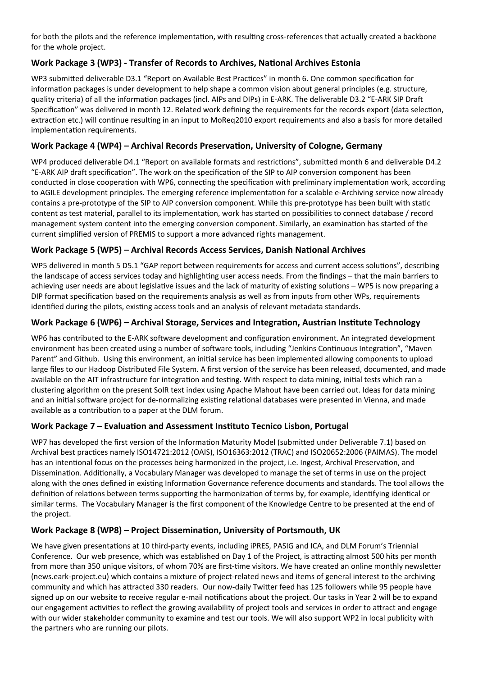for both the pilots and the reference implementation, with resulting cross-references that actually created a backbone for the whole project.

## **Work Package 3 (WP3) ‐ Transfer of Records to Archives, NaƟonal Archives Estonia**

WP3 submitted deliverable D3.1 "Report on Available Best Practices" in month 6. One common specification for information packages is under development to help shape a common vision about general principles (e.g. structure, quality criteria) of all the information packages (incl. AIPs and DIPs) in E-ARK. The deliverable D3.2 "E-ARK SIP Draft Specification" was delivered in month 12. Related work defining the requirements for the records export (data selection, extraction etc.) will continue resulting in an input to MoReq2010 export requirements and also a basis for more detailed implementation requirements.

## **Work Package 4 (WP4) – Archival Records PreservaƟon, University of Cologne, Germany**

WP4 produced deliverable D4.1 "Report on available formats and restrictions", submitted month 6 and deliverable D4.2 "E-ARK AIP draft specification". The work on the specification of the SIP to AIP conversion component has been conducted in close cooperation with WP6, connecting the specification with preliminary implementation work, according to AGILE development principles. The emerging reference implementation for a scalable e-Archiving service now already contains a pre-prototype of the SIP to AIP conversion component. While this pre-prototype has been built with static content as test material, parallel to its implementation, work has started on possibilities to connect database / record management system content into the emerging conversion component. Similarly, an examination has started of the current simplified version of PREMIS to support a more advanced rights management.

## **Work Package 5 (WP5) – Archival Records Access Services, Danish NaƟonal Archives**

WP5 delivered in month 5 D5.1 "GAP report between requirements for access and current access solutions", describing the landscape of access services today and highlighting user access needs. From the findings – that the main barriers to achieving user needs are about legislative issues and the lack of maturity of existing solutions – WP5 is now preparing a DIP format specification based on the requirements analysis as well as from inputs from other WPs, requirements identified during the pilots, existing access tools and an analysis of relevant metadata standards.

## **Work Package 6 (WP6) – Archival Storage, Services and IntegraƟon, Austrian InsƟtute Technology**

WP6 has contributed to the E-ARK software development and configuration environment. An integrated development environment has been created using a number of software tools, including "Jenkins Continuous Integration", "Maven Parent" and Github. Using this environment, an initial service has been implemented allowing components to upload large files to our Hadoop Distributed File System. A first version of the service has been released, documented, and made available on the AIT infrastructure for integration and testing. With respect to data mining, initial tests which ran a clustering algorithm on the present SolR text index using Apache Mahout have been carried out. Ideas for data mining and an initial software project for de-normalizing existing relational databases were presented in Vienna, and made available as a contribution to a paper at the DLM forum.

## **Work Package 7 – EvaluaƟon and Assessment InsƟtuto Tecnico Lisbon, Portugal**

WP7 has developed the first version of the Information Maturity Model (submitted under Deliverable 7.1) based on Archival best pracƟces namely ISO14721:2012 (OAIS), ISO16363:2012 (TRAC) and ISO20652:2006 (PAIMAS). The model has an intentional focus on the processes being harmonized in the project, i.e. Ingest, Archival Preservation, and Dissemination. Additionally, a Vocabulary Manager was developed to manage the set of terms in use on the project along with the ones defined in existing Information Governance reference documents and standards. The tool allows the definition of relations between terms supporting the harmonization of terms by, for example, identifying identical or similar terms. The Vocabulary Manager is the first component of the Knowledge Centre to be presented at the end of the project.

## **Work Package 8 (WP8) – Project DisseminaƟon, University of Portsmouth, UK**

We have given presentations at 10 third-party events, including iPRES, PASIG and ICA, and DLM Forum's Triennial Conference. Our web presence, which was established on Day 1 of the Project, is attracting almost 500 hits per month from more than 350 unique visitors, of whom 70% are first-time visitors. We have created an online monthly newsletter (news.eark‐project.eu) which contains a mixture of project‐related news and items of general interest to the archiving community and which has attracted 330 readers. Our now-daily Twitter feed has 125 followers while 95 people have signed up on our website to receive regular e-mail notifications about the project. Our tasks in Year 2 will be to expand our engagement activities to reflect the growing availability of project tools and services in order to attract and engage with our wider stakeholder community to examine and test our tools. We will also support WP2 in local publicity with the partners who are running our pilots.